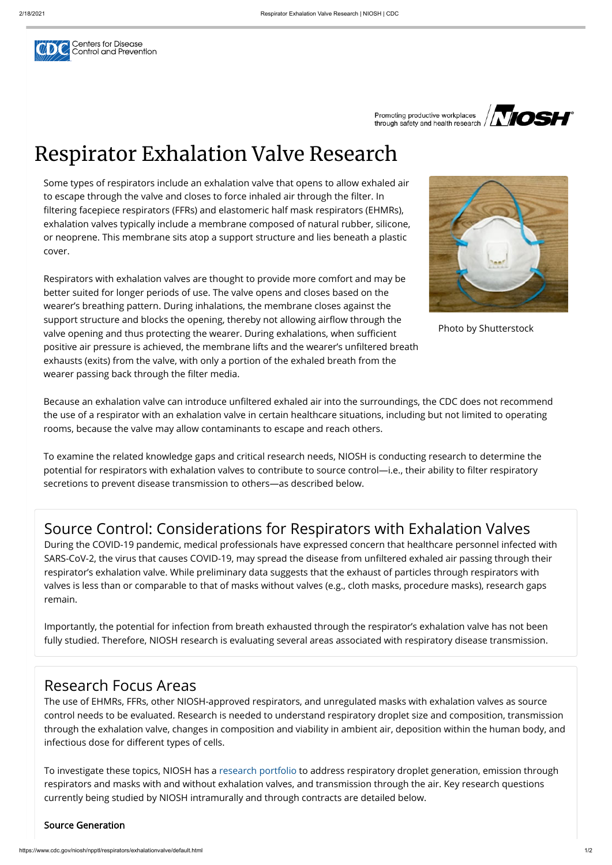Centers for Disease<br>Control and Prevention

Promoting productive workplaces through safety and health research /



# Respirator Exhalation Valve Research

Respirators with exhalation valves are thought to provide more comfort and may be better suited for longer periods of use. The valve opens and closes based on the wearer's breathing pattern. During inhalations, the membrane closes against the support structure and blocks the opening, thereby not allowing airflow through the valve opening and thus protecting the wearer. During exhalations, when sufficient positive air pressure is achieved, the membrane lifts and the wearer's unfiltered breath exhausts (exits) from the valve, with only a portion of the exhaled breath from the wearer passing back through the filter media.

Some types of respirators include an exhalation valve that opens to allow exhaled air to escape through the valve and closes to force inhaled air through the filter. In filtering facepiece respirators (FFRs) and elastomeric half mask respirators (EHMRs), exhalation valves typically include a membrane composed of natural rubber, silicone, or neoprene. This membrane sits atop a support structure and lies beneath a plastic cover.

Because an exhalation valve can introduce unfiltered exhaled air into the surroundings, the CDC does not recommend the use of a respirator with an exhalation valve in certain healthcare situations, including but not limited to operating rooms, because the valve may allow contaminants to escape and reach others.

The use of EHMRs, FFRs, other NIOSH-approved respirators, and unregulated masks with exhalation valves as source control needs to be evaluated. Research is needed to understand respiratory droplet size and composition, transmission through the exhalation valve, changes in composition and viability in ambient air, deposition within the human body, and infectious dose for different types of cells.

To examine the related knowledge gaps and critical research needs, NIOSH is conducting research to determine the potential for respirators with exhalation valves to contribute to source control—i.e., their ability to filter respiratory secretions to prevent disease transmission to others—as described below.

Photo by Shutterstock

## Source Control: Considerations for Respirators with Exhalation Valves

During the COVID-19 pandemic, medical professionals have expressed concern that healthcare personnel infected with SARS-CoV-2, the virus that causes COVID-19, may spread the disease from unfiltered exhaled air passing through their respirator's exhalation valve. While preliminary data suggests that the exhaust of particles through respirators with valves is less than or comparable to that of masks without valves (e.g., cloth masks, procedure masks), research gaps remain.

Importantly, the potential for infection from breath exhausted through the respirator's exhalation valve has not been fully studied. Therefore, NIOSH research is evaluating several areas associated with respiratory disease transmission.

### Research Focus Areas

To investigate these topics, NIOSH has a [research portfolio](#page-1-0) to address respiratory droplet generation, emission through respirators and masks with and without exhalation valves, and transmission through the air. Key research questions currently being studied by NIOSH intramurally and through contracts are detailed below.

#### Source Generation